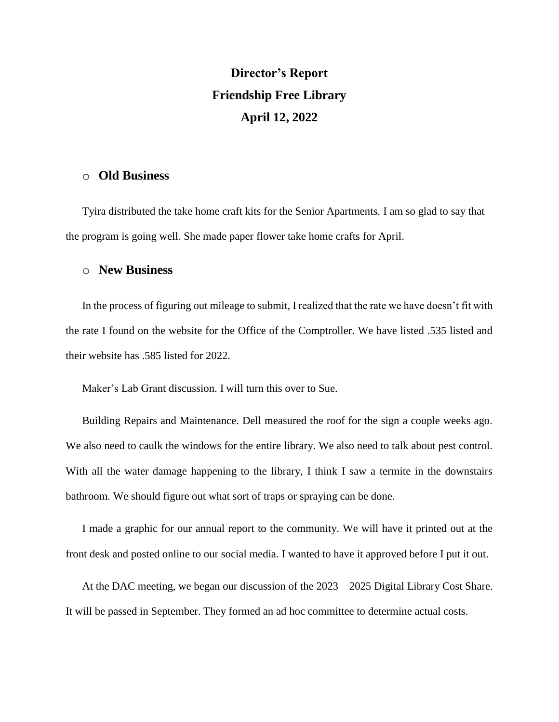## **Director's Report Friendship Free Library April 12, 2022**

## o **Old Business**

Tyira distributed the take home craft kits for the Senior Apartments. I am so glad to say that the program is going well. She made paper flower take home crafts for April.

## o **New Business**

In the process of figuring out mileage to submit, I realized that the rate we have doesn't fit with the rate I found on the website for the Office of the Comptroller. We have listed .535 listed and their website has .585 listed for 2022.

Maker's Lab Grant discussion. I will turn this over to Sue.

Building Repairs and Maintenance. Dell measured the roof for the sign a couple weeks ago. We also need to caulk the windows for the entire library. We also need to talk about pest control. With all the water damage happening to the library, I think I saw a termite in the downstairs bathroom. We should figure out what sort of traps or spraying can be done.

I made a graphic for our annual report to the community. We will have it printed out at the front desk and posted online to our social media. I wanted to have it approved before I put it out.

At the DAC meeting, we began our discussion of the 2023 – 2025 Digital Library Cost Share. It will be passed in September. They formed an ad hoc committee to determine actual costs.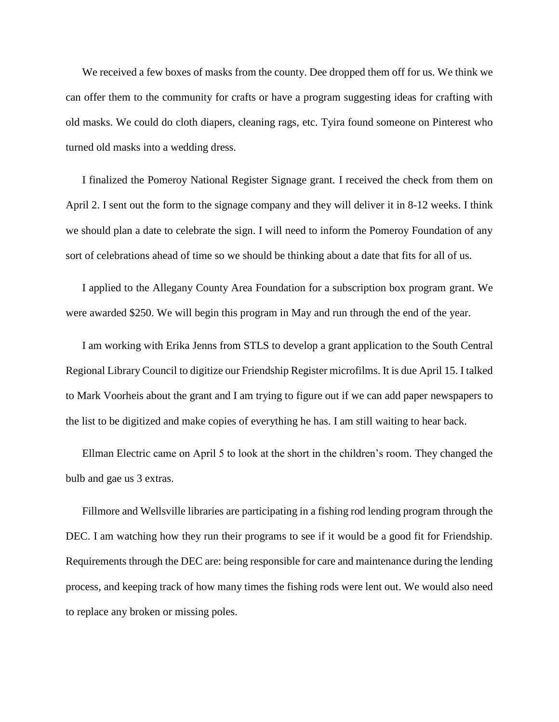We received a few boxes of masks from the county. Dee dropped them off for us. We think we can offer them to the community for crafts or have a program suggesting ideas for crafting with old masks. We could do cloth diapers, cleaning rags, etc. Tyira found someone on Pinterest who turned old masks into a wedding dress.

I finalized the Pomeroy National Register Signage grant. I received the check from them on April 2. I sent out the form to the signage company and they will deliver it in 8-12 weeks. I think we should plan a date to celebrate the sign. I will need to inform the Pomeroy Foundation of any sort of celebrations ahead of time so we should be thinking about a date that fits for all of us.

I applied to the Allegany County Area Foundation for a subscription box program grant. We were awarded \$250. We will begin this program in May and run through the end of the year.

I am working with Erika Jenns from STLS to develop a grant application to the South Central Regional Library Council to digitize our Friendship Register microfilms. It is due April 15. I talked to Mark Voorheis about the grant and I am trying to figure out if we can add paper newspapers to the list to be digitized and make copies of everything he has. I am still waiting to hear back.

Ellman Electric came on April 5 to look at the short in the children's room. They changed the bulb and gae us 3 extras.

Fillmore and Wellsville libraries are participating in a fishing rod lending program through the DEC. I am watching how they run their programs to see if it would be a good fit for Friendship. Requirements through the DEC are: being responsible for care and maintenance during the lending process, and keeping track of how many times the fishing rods were lent out. We would also need to replace any broken or missing poles.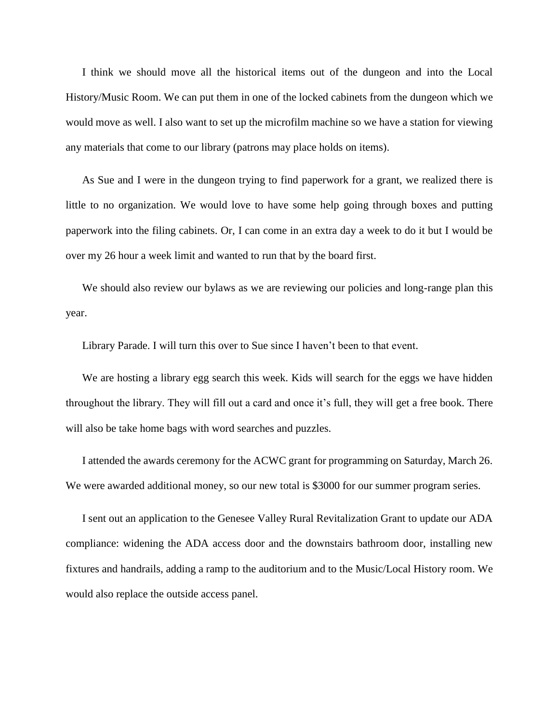I think we should move all the historical items out of the dungeon and into the Local History/Music Room. We can put them in one of the locked cabinets from the dungeon which we would move as well. I also want to set up the microfilm machine so we have a station for viewing any materials that come to our library (patrons may place holds on items).

As Sue and I were in the dungeon trying to find paperwork for a grant, we realized there is little to no organization. We would love to have some help going through boxes and putting paperwork into the filing cabinets. Or, I can come in an extra day a week to do it but I would be over my 26 hour a week limit and wanted to run that by the board first.

We should also review our bylaws as we are reviewing our policies and long-range plan this year.

Library Parade. I will turn this over to Sue since I haven't been to that event.

We are hosting a library egg search this week. Kids will search for the eggs we have hidden throughout the library. They will fill out a card and once it's full, they will get a free book. There will also be take home bags with word searches and puzzles.

I attended the awards ceremony for the ACWC grant for programming on Saturday, March 26. We were awarded additional money, so our new total is \$3000 for our summer program series.

I sent out an application to the Genesee Valley Rural Revitalization Grant to update our ADA compliance: widening the ADA access door and the downstairs bathroom door, installing new fixtures and handrails, adding a ramp to the auditorium and to the Music/Local History room. We would also replace the outside access panel.